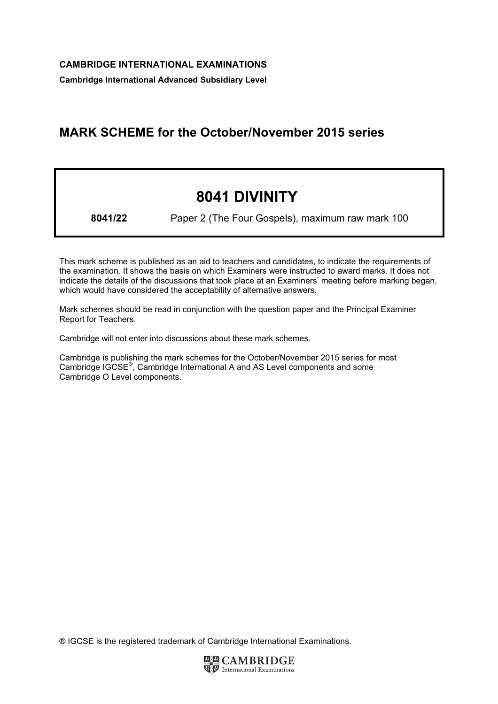Cambridge International Advanced Subsidiary Level

# MARK SCHEME for the October/November 2015 series

# 8041 DIVINITY

8041/22 Paper 2 (The Four Gospels), maximum raw mark 100

This mark scheme is published as an aid to teachers and candidates, to indicate the requirements of the examination. It shows the basis on which Examiners were instructed to award marks. It does not indicate the details of the discussions that took place at an Examiners' meeting before marking began, which would have considered the acceptability of alternative answers.

Mark schemes should be read in conjunction with the question paper and the Principal Examiner Report for Teachers.

Cambridge will not enter into discussions about these mark schemes.

Cambridge is publishing the mark schemes for the October/November 2015 series for most Cambridge IGCSE*®* , Cambridge International A and AS Level components and some Cambridge O Level components.

® IGCSE is the registered trademark of Cambridge International Examinations.

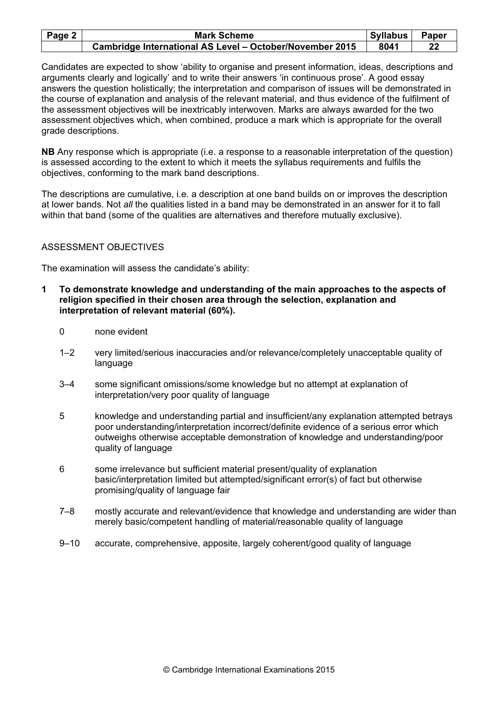| Page 2 $ $ | <b>Mark Scheme</b>                                       | <b>Syllabus</b> | Paper |
|------------|----------------------------------------------------------|-----------------|-------|
|            | Cambridge International AS Level - October/November 2015 | 8041            | 22    |

Candidates are expected to show 'ability to organise and present information, ideas, descriptions and arguments clearly and logically' and to write their answers 'in continuous prose'. A good essay answers the question holistically; the interpretation and comparison of issues will be demonstrated in the course of explanation and analysis of the relevant material, and thus evidence of the fulfilment of the assessment objectives will be inextricably interwoven. Marks are always awarded for the two assessment objectives which, when combined, produce a mark which is appropriate for the overall grade descriptions.

NB Any response which is appropriate (i.e. a response to a reasonable interpretation of the question) is assessed according to the extent to which it meets the syllabus requirements and fulfils the objectives, conforming to the mark band descriptions.

The descriptions are cumulative, i.e. a description at one band builds on or improves the description at lower bands. Not all the qualities listed in a band may be demonstrated in an answer for it to fall within that band (some of the qualities are alternatives and therefore mutually exclusive).

#### ASSESSMENT OBJECTIVES

The examination will assess the candidate's ability:

- 1 To demonstrate knowledge and understanding of the main approaches to the aspects of religion specified in their chosen area through the selection, explanation and interpretation of relevant material (60%).
	- 0 none evident
	- 1–2 very limited/serious inaccuracies and/or relevance/completely unacceptable quality of language
	- 3–4 some significant omissions/some knowledge but no attempt at explanation of interpretation/very poor quality of language
	- 5 knowledge and understanding partial and insufficient/any explanation attempted betrays poor understanding/interpretation incorrect/definite evidence of a serious error which outweighs otherwise acceptable demonstration of knowledge and understanding/poor quality of language
	- 6 some irrelevance but sufficient material present/quality of explanation basic/interpretation limited but attempted/significant error(s) of fact but otherwise promising/quality of language fair
	- 7–8 mostly accurate and relevant/evidence that knowledge and understanding are wider than merely basic/competent handling of material/reasonable quality of language
	- 9–10 accurate, comprehensive, apposite, largely coherent/good quality of language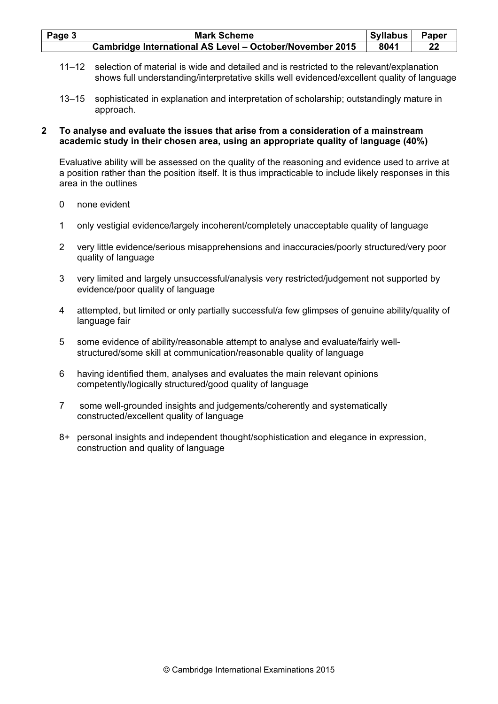| Page 3 | <b>Mark Scheme</b>                                       | <b>Syllabus</b> | Paper |
|--------|----------------------------------------------------------|-----------------|-------|
|        | Cambridge International AS Level - October/November 2015 | 8041            |       |

- 11–12 selection of material is wide and detailed and is restricted to the relevant/explanation shows full understanding/interpretative skills well evidenced/excellent quality of language
- 13–15 sophisticated in explanation and interpretation of scholarship; outstandingly mature in approach.

#### 2 To analyse and evaluate the issues that arise from a consideration of a mainstream academic study in their chosen area, using an appropriate quality of language (40%)

Evaluative ability will be assessed on the quality of the reasoning and evidence used to arrive at a position rather than the position itself. It is thus impracticable to include likely responses in this area in the outlines

- 0 none evident
- 1 only vestigial evidence/largely incoherent/completely unacceptable quality of language
- 2 very little evidence/serious misapprehensions and inaccuracies/poorly structured/very poor quality of language
- 3 very limited and largely unsuccessful/analysis very restricted/judgement not supported by evidence/poor quality of language
- 4 attempted, but limited or only partially successful/a few glimpses of genuine ability/quality of language fair
- 5 some evidence of ability/reasonable attempt to analyse and evaluate/fairly wellstructured/some skill at communication/reasonable quality of language
- 6 having identified them, analyses and evaluates the main relevant opinions competently/logically structured/good quality of language
- 7 some well-grounded insights and judgements/coherently and systematically constructed/excellent quality of language
- 8+ personal insights and independent thought/sophistication and elegance in expression, construction and quality of language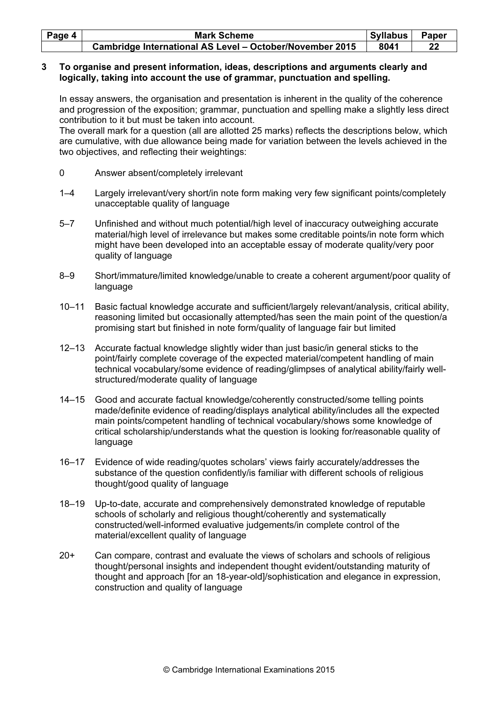| Page 4 | <b>Mark Scheme</b>                                       | <b>Syllabus</b> | Paper |
|--------|----------------------------------------------------------|-----------------|-------|
|        | Cambridge International AS Level - October/November 2015 | 8041            | 22    |

#### 3 To organise and present information, ideas, descriptions and arguments clearly and logically, taking into account the use of grammar, punctuation and spelling.

In essay answers, the organisation and presentation is inherent in the quality of the coherence and progression of the exposition; grammar, punctuation and spelling make a slightly less direct contribution to it but must be taken into account.

The overall mark for a question (all are allotted 25 marks) reflects the descriptions below, which are cumulative, with due allowance being made for variation between the levels achieved in the two objectives, and reflecting their weightings:

- 0 Answer absent/completely irrelevant
- 1–4 Largely irrelevant/very short/in note form making very few significant points/completely unacceptable quality of language
- 5–7 Unfinished and without much potential/high level of inaccuracy outweighing accurate material/high level of irrelevance but makes some creditable points/in note form which might have been developed into an acceptable essay of moderate quality/very poor quality of language
- 8–9 Short/immature/limited knowledge/unable to create a coherent argument/poor quality of language
- 10–11 Basic factual knowledge accurate and sufficient/largely relevant/analysis, critical ability, reasoning limited but occasionally attempted/has seen the main point of the question/a promising start but finished in note form/quality of language fair but limited
- 12–13 Accurate factual knowledge slightly wider than just basic/in general sticks to the point/fairly complete coverage of the expected material/competent handling of main technical vocabulary/some evidence of reading/glimpses of analytical ability/fairly wellstructured/moderate quality of language
- 14–15 Good and accurate factual knowledge/coherently constructed/some telling points made/definite evidence of reading/displays analytical ability/includes all the expected main points/competent handling of technical vocabulary/shows some knowledge of critical scholarship/understands what the question is looking for/reasonable quality of language
- 16–17 Evidence of wide reading/quotes scholars' views fairly accurately/addresses the substance of the question confidently/is familiar with different schools of religious thought/good quality of language
- 18–19 Up-to-date, accurate and comprehensively demonstrated knowledge of reputable schools of scholarly and religious thought/coherently and systematically constructed/well-informed evaluative judgements/in complete control of the material/excellent quality of language
- 20+ Can compare, contrast and evaluate the views of scholars and schools of religious thought/personal insights and independent thought evident/outstanding maturity of thought and approach [for an 18-year-old]/sophistication and elegance in expression, construction and quality of language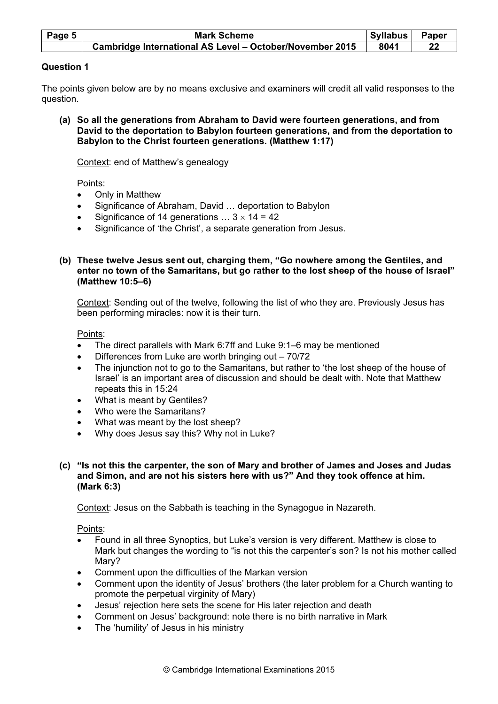| Page 5 | <b>Mark Scheme</b>                                       | <b>Syllabus</b> | Paper |
|--------|----------------------------------------------------------|-----------------|-------|
|        | Cambridge International AS Level - October/November 2015 | 8041            |       |

#### Question 1

The points given below are by no means exclusive and examiners will credit all valid responses to the question.

 (a) So all the generations from Abraham to David were fourteen generations, and from David to the deportation to Babylon fourteen generations, and from the deportation to Babylon to the Christ fourteen generations. (Matthew 1:17)

Context: end of Matthew's genealogy

Points:

- Only in Matthew
- Significance of Abraham, David … deportation to Babylon
- Significance of 14 generations  $\ldots$  3  $\times$  14 = 42
- Significance of 'the Christ', a separate generation from Jesus.
- (b) These twelve Jesus sent out, charging them, "Go nowhere among the Gentiles, and enter no town of the Samaritans, but go rather to the lost sheep of the house of Israel" (Matthew 10:5–6)

 Context: Sending out of the twelve, following the list of who they are. Previously Jesus has been performing miracles: now it is their turn.

Points:

- The direct parallels with Mark 6:7ff and Luke 9:1–6 may be mentioned
- Differences from Luke are worth bringing out 70/72
- The injunction not to go to the Samaritans, but rather to 'the lost sheep of the house of Israel' is an important area of discussion and should be dealt with. Note that Matthew repeats this in 15:24
- What is meant by Gentiles?
- Who were the Samaritans?
- What was meant by the lost sheep?
- Why does Jesus say this? Why not in Luke?
- (c) "Is not this the carpenter, the son of Mary and brother of James and Joses and Judas and Simon, and are not his sisters here with us?" And they took offence at him. (Mark 6:3)

Context: Jesus on the Sabbath is teaching in the Synagogue in Nazareth.

Points:

- Found in all three Synoptics, but Luke's version is very different. Matthew is close to Mark but changes the wording to "is not this the carpenter's son? Is not his mother called Mary?
- Comment upon the difficulties of the Markan version
- Comment upon the identity of Jesus' brothers (the later problem for a Church wanting to promote the perpetual virginity of Mary)
- Jesus' rejection here sets the scene for His later rejection and death
- Comment on Jesus' background: note there is no birth narrative in Mark
- The 'humility' of Jesus in his ministry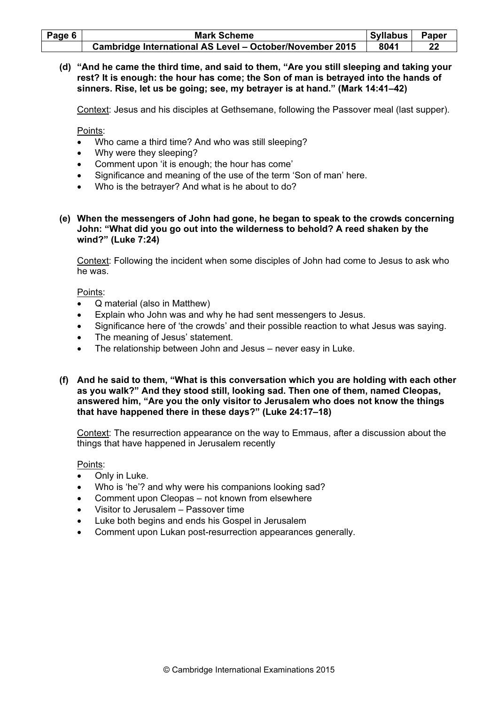| Page 6 | <b>Mark Scheme</b>                                       | Syllabus | Paper |
|--------|----------------------------------------------------------|----------|-------|
|        | Cambridge International AS Level - October/November 2015 | 8041     |       |

 (d) "And he came the third time, and said to them, "Are you still sleeping and taking your rest? It is enough: the hour has come; the Son of man is betrayed into the hands of sinners. Rise, let us be going; see, my betrayer is at hand." (Mark 14:41–42)

Context: Jesus and his disciples at Gethsemane, following the Passover meal (last supper).

Points:

- Who came a third time? And who was still sleeping?
- Why were they sleeping?
- Comment upon 'it is enough; the hour has come'
- Significance and meaning of the use of the term 'Son of man' here.
- Who is the betrayer? And what is he about to do?
- (e) When the messengers of John had gone, he began to speak to the crowds concerning John: "What did you go out into the wilderness to behold? A reed shaken by the wind?" (Luke 7:24)

 Context: Following the incident when some disciples of John had come to Jesus to ask who he was.

Points:

- Q material (also in Matthew)
- Explain who John was and why he had sent messengers to Jesus.
- Significance here of 'the crowds' and their possible reaction to what Jesus was saying.
- The meaning of Jesus' statement.
- The relationship between John and Jesus never easy in Luke.
- (f) And he said to them, "What is this conversation which you are holding with each other as you walk?" And they stood still, looking sad. Then one of them, named Cleopas, answered him, "Are you the only visitor to Jerusalem who does not know the things that have happened there in these days?" (Luke 24:17–18)

 Context: The resurrection appearance on the way to Emmaus, after a discussion about the things that have happened in Jerusalem recently

Points:

- Only in Luke.
- Who is 'he'? and why were his companions looking sad?
- Comment upon Cleopas not known from elsewhere
- Visitor to Jerusalem Passover time
- Luke both begins and ends his Gospel in Jerusalem
- Comment upon Lukan post-resurrection appearances generally.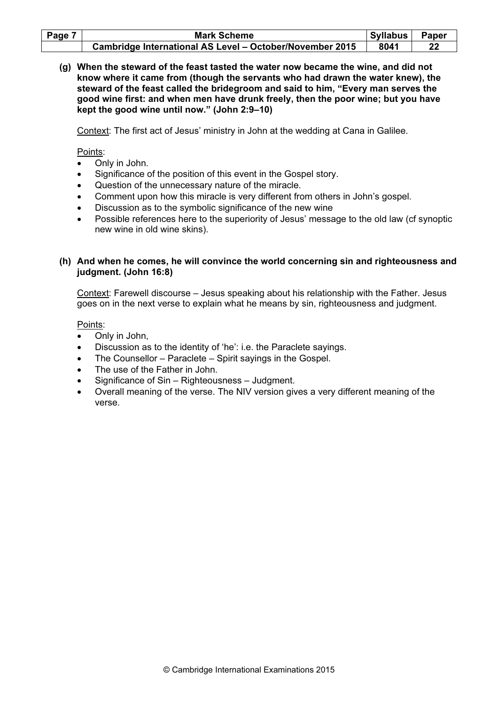| Page 7 | <b>Mark Scheme</b>                                       | Syllabus | Paper |
|--------|----------------------------------------------------------|----------|-------|
|        | Cambridge International AS Level - October/November 2015 | 8041     | 22    |

 (g) When the steward of the feast tasted the water now became the wine, and did not know where it came from (though the servants who had drawn the water knew), the steward of the feast called the bridegroom and said to him, "Every man serves the good wine first: and when men have drunk freely, then the poor wine; but you have kept the good wine until now." (John 2:9–10)

Context: The first act of Jesus' ministry in John at the wedding at Cana in Galilee.

Points:

- Only in John.
- Significance of the position of this event in the Gospel story.
- Question of the unnecessary nature of the miracle.
- Comment upon how this miracle is very different from others in John's gospel.
- Discussion as to the symbolic significance of the new wine
- Possible references here to the superiority of Jesus' message to the old law (cf synoptic new wine in old wine skins).

#### (h) And when he comes, he will convince the world concerning sin and righteousness and judgment. (John 16:8)

 Context: Farewell discourse – Jesus speaking about his relationship with the Father. Jesus goes on in the next verse to explain what he means by sin, righteousness and judgment.

Points:

- Only in John,
- Discussion as to the identity of 'he': i.e. the Paraclete sayings.
- The Counsellor Paraclete Spirit sayings in the Gospel.
- The use of the Father in John.
- Significance of Sin Righteousness Judgment.
- Overall meaning of the verse. The NIV version gives a very different meaning of the verse.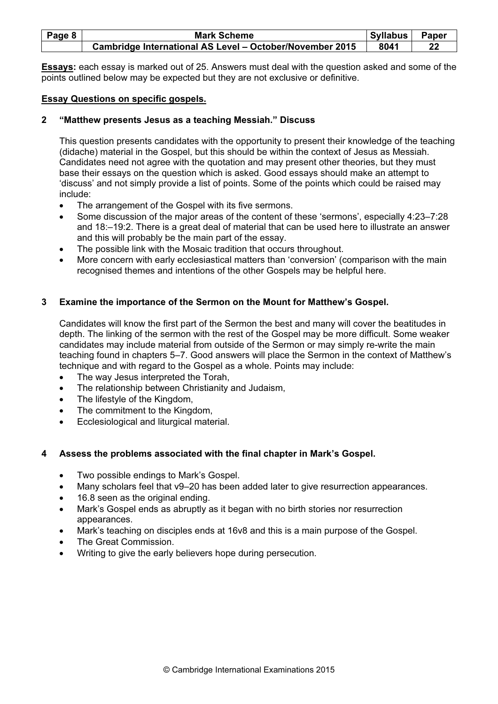| Page 8 | <b>Mark Scheme</b>                                       | <b>Syllabus</b> | Paper |
|--------|----------------------------------------------------------|-----------------|-------|
|        | Cambridge International AS Level - October/November 2015 | 8041            | 22    |

Essays: each essay is marked out of 25. Answers must deal with the question asked and some of the points outlined below may be expected but they are not exclusive or definitive.

#### Essay Questions on specific gospels.

#### 2 "Matthew presents Jesus as a teaching Messiah." Discuss

This question presents candidates with the opportunity to present their knowledge of the teaching (didache) material in the Gospel, but this should be within the context of Jesus as Messiah. Candidates need not agree with the quotation and may present other theories, but they must base their essays on the question which is asked. Good essays should make an attempt to 'discuss' and not simply provide a list of points. Some of the points which could be raised may include:

- The arrangement of the Gospel with its five sermons.
- Some discussion of the major areas of the content of these 'sermons', especially 4:23–7:28 and 18:–19:2. There is a great deal of material that can be used here to illustrate an answer and this will probably be the main part of the essay.
- The possible link with the Mosaic tradition that occurs throughout.
- More concern with early ecclesiastical matters than 'conversion' (comparison with the main recognised themes and intentions of the other Gospels may be helpful here.

#### 3 Examine the importance of the Sermon on the Mount for Matthew's Gospel.

Candidates will know the first part of the Sermon the best and many will cover the beatitudes in depth. The linking of the sermon with the rest of the Gospel may be more difficult. Some weaker candidates may include material from outside of the Sermon or may simply re-write the main teaching found in chapters 5–7. Good answers will place the Sermon in the context of Matthew's technique and with regard to the Gospel as a whole. Points may include:

- The way Jesus interpreted the Torah,
- The relationship between Christianity and Judaism,
- The lifestyle of the Kingdom,
- The commitment to the Kingdom,
- Ecclesiological and liturgical material.

#### 4 Assess the problems associated with the final chapter in Mark's Gospel.

- Two possible endings to Mark's Gospel.
- Many scholars feel that v9–20 has been added later to give resurrection appearances.
- 16.8 seen as the original ending.
- Mark's Gospel ends as abruptly as it began with no birth stories nor resurrection appearances.
- Mark's teaching on disciples ends at 16v8 and this is a main purpose of the Gospel.
- The Great Commission.
- Writing to give the early believers hope during persecution.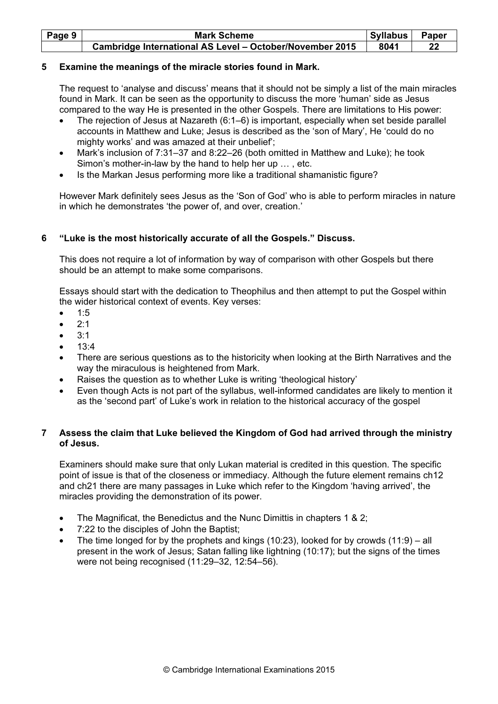| Page 9 | <b>Mark Scheme</b>                                       | Syllabus | <b>Paper</b> |
|--------|----------------------------------------------------------|----------|--------------|
|        | Cambridge International AS Level - October/November 2015 | 8041     | 22           |

#### 5 Examine the meanings of the miracle stories found in Mark.

The request to 'analyse and discuss' means that it should not be simply a list of the main miracles found in Mark. It can be seen as the opportunity to discuss the more 'human' side as Jesus compared to the way He is presented in the other Gospels. There are limitations to His power:

- The rejection of Jesus at Nazareth (6:1–6) is important, especially when set beside parallel accounts in Matthew and Luke; Jesus is described as the 'son of Mary', He 'could do no mighty works' and was amazed at their unbelief';
- Mark's inclusion of 7:31–37 and 8:22–26 (both omitted in Matthew and Luke); he took Simon's mother-in-law by the hand to help her up … , etc.
- Is the Markan Jesus performing more like a traditional shamanistic figure?

However Mark definitely sees Jesus as the 'Son of God' who is able to perform miracles in nature in which he demonstrates 'the power of, and over, creation.'

#### 6 "Luke is the most historically accurate of all the Gospels." Discuss.

This does not require a lot of information by way of comparison with other Gospels but there should be an attempt to make some comparisons.

Essays should start with the dedication to Theophilus and then attempt to put the Gospel within the wider historical context of events. Key verses:

- 1:5
- $2:1$
- $3:1$
- $13:4$
- There are serious questions as to the historicity when looking at the Birth Narratives and the way the miraculous is heightened from Mark.
- Raises the question as to whether Luke is writing 'theological history'
- Even though Acts is not part of the syllabus, well-informed candidates are likely to mention it as the 'second part' of Luke's work in relation to the historical accuracy of the gospel

## 7 Assess the claim that Luke believed the Kingdom of God had arrived through the ministry of Jesus.

Examiners should make sure that only Lukan material is credited in this question. The specific point of issue is that of the closeness or immediacy. Although the future element remains ch12 and ch21 there are many passages in Luke which refer to the Kingdom 'having arrived', the miracles providing the demonstration of its power.

- The Magnificat, the Benedictus and the Nunc Dimittis in chapters 1 & 2;
- 7:22 to the disciples of John the Baptist;
- The time longed for by the prophets and kings (10:23), looked for by crowds  $(11:9) all$ present in the work of Jesus; Satan falling like lightning (10:17); but the signs of the times were not being recognised (11:29–32, 12:54–56).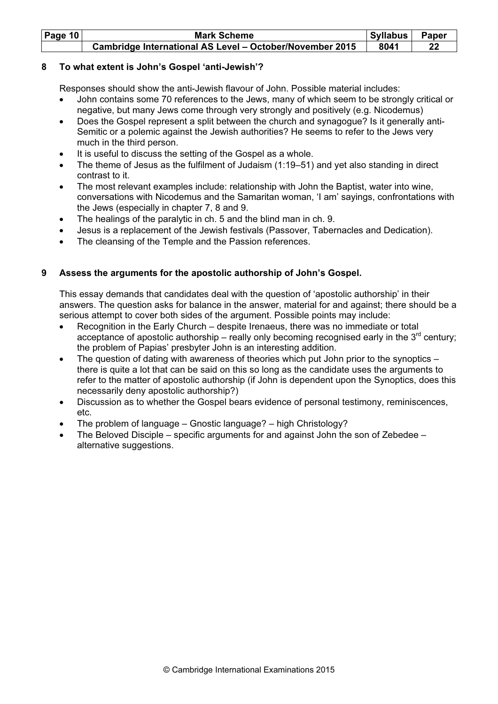| <b>Page 10</b> | <b>Mark Scheme</b>                                       | Syllabus | Paper |
|----------------|----------------------------------------------------------|----------|-------|
|                | Cambridge International AS Level - October/November 2015 | 8041     | 22    |

## 8 To what extent is John's Gospel 'anti-Jewish'?

Responses should show the anti-Jewish flavour of John. Possible material includes:

- John contains some 70 references to the Jews, many of which seem to be strongly critical or negative, but many Jews come through very strongly and positively (e.g. Nicodemus)
- Does the Gospel represent a split between the church and synagogue? Is it generally anti-Semitic or a polemic against the Jewish authorities? He seems to refer to the Jews very much in the third person.
- It is useful to discuss the setting of the Gospel as a whole.
- The theme of Jesus as the fulfilment of Judaism (1:19–51) and yet also standing in direct contrast to it.
- The most relevant examples include: relationship with John the Baptist, water into wine, conversations with Nicodemus and the Samaritan woman, 'I am' sayings, confrontations with the Jews (especially in chapter 7, 8 and 9.
- The healings of the paralytic in ch. 5 and the blind man in ch. 9.
- Jesus is a replacement of the Jewish festivals (Passover, Tabernacles and Dedication).
- The cleansing of the Temple and the Passion references.

# 9 Assess the arguments for the apostolic authorship of John's Gospel.

This essay demands that candidates deal with the question of 'apostolic authorship' in their answers. The question asks for balance in the answer, material for and against; there should be a serious attempt to cover both sides of the argument. Possible points may include:

- Recognition in the Early Church despite Irenaeus, there was no immediate or total acceptance of apostolic authorship – really only becoming recognised early in the  $3<sup>rd</sup>$  century; the problem of Papias' presbyter John is an interesting addition.
- The question of dating with awareness of theories which put John prior to the synoptics  $$ there is quite a lot that can be said on this so long as the candidate uses the arguments to refer to the matter of apostolic authorship (if John is dependent upon the Synoptics, does this necessarily deny apostolic authorship?)
- Discussion as to whether the Gospel bears evidence of personal testimony, reminiscences, etc.
- The problem of language Gnostic language? high Christology?
- The Beloved Disciple specific arguments for and against John the son of Zebedee alternative suggestions.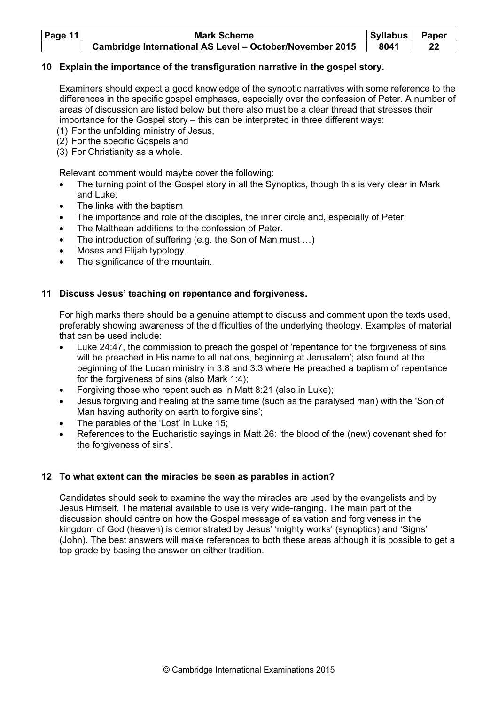| Page 11 | <b>Mark Scheme</b>                                       | <b>Syllabus</b> | Paper |
|---------|----------------------------------------------------------|-----------------|-------|
|         | Cambridge International AS Level - October/November 2015 | 8041            | 22    |

#### 10 Explain the importance of the transfiguration narrative in the gospel story.

Examiners should expect a good knowledge of the synoptic narratives with some reference to the differences in the specific gospel emphases, especially over the confession of Peter. A number of areas of discussion are listed below but there also must be a clear thread that stresses their importance for the Gospel story – this can be interpreted in three different ways:

- (1) For the unfolding ministry of Jesus,
- (2) For the specific Gospels and
- (3) For Christianity as a whole.

Relevant comment would maybe cover the following:

- The turning point of the Gospel story in all the Synoptics, though this is very clear in Mark and Luke.
- The links with the baptism
- The importance and role of the disciples, the inner circle and, especially of Peter.
- The Matthean additions to the confession of Peter
- The introduction of suffering (e.g. the Son of Man must ...)
- Moses and Elijah typology.
- The significance of the mountain.

#### 11 Discuss Jesus' teaching on repentance and forgiveness.

For high marks there should be a genuine attempt to discuss and comment upon the texts used, preferably showing awareness of the difficulties of the underlying theology. Examples of material that can be used include:

- Luke 24:47, the commission to preach the gospel of 'repentance for the forgiveness of sins will be preached in His name to all nations, beginning at Jerusalem'; also found at the beginning of the Lucan ministry in 3:8 and 3:3 where He preached a baptism of repentance for the forgiveness of sins (also Mark 1:4);
- Forgiving those who repent such as in Matt 8:21 (also in Luke);
- Jesus forgiving and healing at the same time (such as the paralysed man) with the 'Son of Man having authority on earth to forgive sins';
- The parables of the 'Lost' in Luke 15;
- References to the Eucharistic sayings in Matt 26: 'the blood of the (new) covenant shed for the forgiveness of sins'.

#### 12 To what extent can the miracles be seen as parables in action?

Candidates should seek to examine the way the miracles are used by the evangelists and by Jesus Himself. The material available to use is very wide-ranging. The main part of the discussion should centre on how the Gospel message of salvation and forgiveness in the kingdom of God (heaven) is demonstrated by Jesus' 'mighty works' (synoptics) and 'Signs' (John). The best answers will make references to both these areas although it is possible to get a top grade by basing the answer on either tradition.